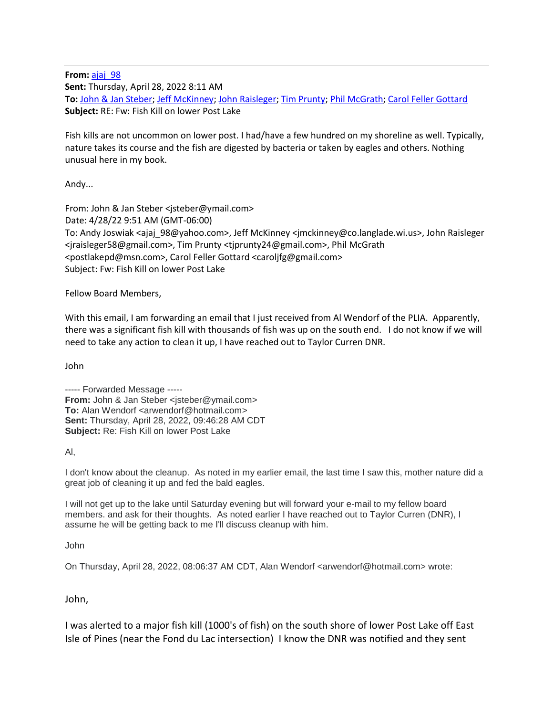**From:** [ajaj\\_98](mailto:ajaj_98@yahoo.com) **Sent:** Thursday, April 28, 2022 8:11 AM **To:** [John & Jan Steber;](mailto:jsteber@ymail.com) [Jeff McKinney;](mailto:jmckinney@co.langlade.wi.us) [John Raisleger;](mailto:jraisleger58@gmail.com) [Tim Prunty;](mailto:tjprunty24@gmail.com) [Phil McGrath;](mailto:postlakepd@msn.com) [Carol Feller Gottard](mailto:caroljfg@gmail.com) **Subject:** RE: Fw: Fish Kill on lower Post Lake

Fish kills are not uncommon on lower post. I had/have a few hundred on my shoreline as well. Typically, nature takes its course and the fish are digested by bacteria or taken by eagles and others. Nothing unusual here in my book.

Andy...

From: John & Jan Steber <jsteber@ymail.com> Date: 4/28/22 9:51 AM (GMT-06:00) To: Andy Joswiak <ajaj\_98@yahoo.com>, Jeff McKinney <jmckinney@co.langlade.wi.us>, John Raisleger <jraisleger58@gmail.com>, Tim Prunty <tjprunty24@gmail.com>, Phil McGrath <postlakepd@msn.com>, Carol Feller Gottard <caroljfg@gmail.com> Subject: Fw: Fish Kill on lower Post Lake

Fellow Board Members,

With this email, I am forwarding an email that I just received from Al Wendorf of the PLIA. Apparently, there was a significant fish kill with thousands of fish was up on the south end. I do not know if we will need to take any action to clean it up, I have reached out to Taylor Curren DNR.

John

----- Forwarded Message ----- **From:** John & Jan Steber <isteber@ymail.com> **To:** Alan Wendorf <arwendorf@hotmail.com> **Sent:** Thursday, April 28, 2022, 09:46:28 AM CDT **Subject:** Re: Fish Kill on lower Post Lake

Al,

I don't know about the cleanup. As noted in my earlier email, the last time I saw this, mother nature did a great job of cleaning it up and fed the bald eagles.

I will not get up to the lake until Saturday evening but will forward your e-mail to my fellow board members. and ask for their thoughts. As noted earlier I have reached out to Taylor Curren (DNR), I assume he will be getting back to me I'll discuss cleanup with him.

John

On Thursday, April 28, 2022, 08:06:37 AM CDT, Alan Wendorf <arwendorf@hotmail.com> wrote:

John,

I was alerted to a major fish kill (1000's of fish) on the south shore of lower Post Lake off East Isle of Pines (near the Fond du Lac intersection) I know the DNR was notified and they sent